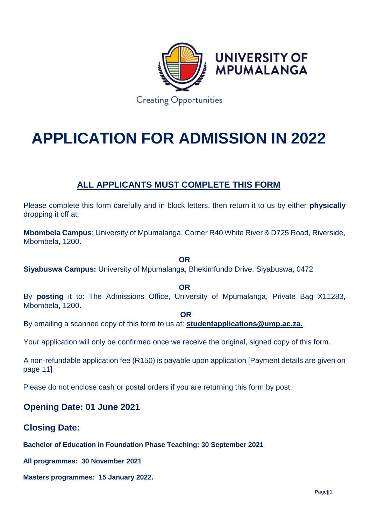

# **APPLICATION FOR ADMISSION IN 2022**

# **ALL APPLICANTS MUST COMPLETE THIS FORM**

Please complete this form carefully and in block letters, then return it to us by either **physically**  dropping it off at:

**Mbombela Campus**: University of Mpumalanga, Corner R40 White River & D725 Road, Riverside, Mbombela, 1200.

**OR**

**Siyabuswa Campus:** University of Mpumalanga, Bhekimfundo Drive, Siyabuswa, 0472

**OR**

By **posting** it to: The Admissions Office, University of Mpumalanga, Private Bag X11283, Mbombela, 1200.

**OR**

By emailing a scanned copy of this form to us at: **[studentapplications@ump.ac.za.](mailto:studentapplications@ump.ac.za)**

Your application will only be confirmed once we receive the original, signed copy of this form.

A non-refundable application fee (R150) is payable upon application [Payment details are given on page 11]

Please do not enclose cash or postal orders if you are returning this form by post.

### **Opening Date: 01 June 2021**

### **Closing Date:**

**Bachelor of Education in Foundation Phase Teaching: 30 September 2021** 

**All programmes: 30 November 2021**

**Masters programmes: 15 January 2022.**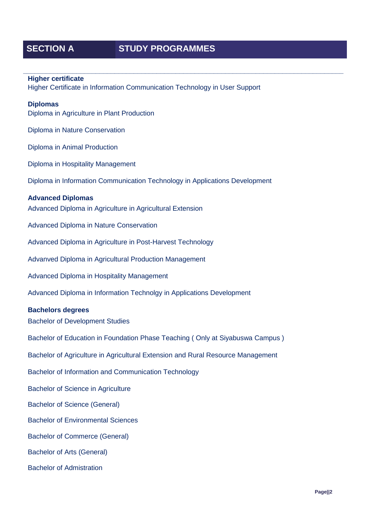## **SECTION A STUDY PROGRAMMES**

# **\_\_\_\_\_\_\_\_\_\_\_\_\_\_\_\_\_\_\_\_\_\_\_\_\_\_\_\_\_\_\_\_\_\_\_\_\_\_\_\_\_\_\_\_\_\_\_\_\_\_\_\_\_\_\_\_\_\_\_\_\_\_\_\_\_\_\_\_\_\_\_\_\_\_\_\_\_\_\_\_\_\_\_\_ Higher certificate** Higher Certificate in Information Communication Technology in User Support **Diplomas** Diploma in Agriculture in Plant Production Diploma in Nature Conservation Diploma in Animal Production Diploma in Hospitality Management Diploma in Information Communication Technology in Applications Development **Advanced Diplomas** Advanced Diploma in Agriculture in Agricultural Extension Advanced Diploma in Nature Conservation Advanced Diploma in Agriculture in Post-Harvest Technology Advanved Diploma in Agricultural Production Management Advanced Diploma in Hospitality Management Advanced Diploma in Information Technolgy in Applications Development **Bachelors degrees** Bachelor of Development Studies Bachelor of Education in Foundation Phase Teaching ( Only at Siyabuswa Campus ) Bachelor of Agriculture in Agricultural Extension and Rural Resource Management Bachelor of Information and Communication Technology Bachelor of Science in Agriculture Bachelor of Science (General) Bachelor of Environmental Sciences Bachelor of Commerce (General) Bachelor of Arts (General) Bachelor of Admistration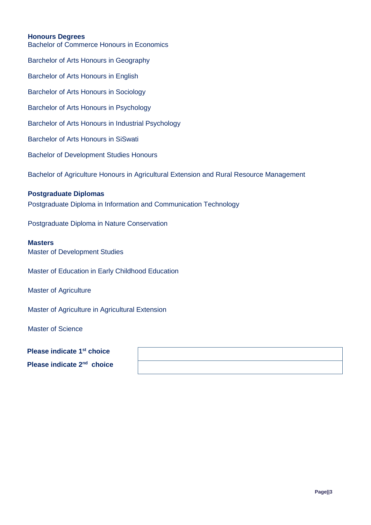#### **Honours Degrees**

Bachelor of Commerce Honours in Economics Barchelor of Arts Honours in Geography Barchelor of Arts Honours in English Barchelor of Arts Honours in Sociology Barchelor of Arts Honours in Psychology Barchelor of Arts Honours in Industrial Psychology Barchelor of Arts Honours in SiSwati Bachelor of Development Studies Honours Bachelor of Agriculture Honours in Agricultural Extension and Rural Resource Management **Postgraduate Diplomas** Postgraduate Diploma in Information and Communication Technology Postgraduate Diploma in Nature Conservation **Masters** Master of Development Studies Master of Education in Early Childhood Education Master of Agriculture

Master of Agriculture in Agricultural Extension

Master of Science

**Please indicate 1st choice Please indicate 2nd choice**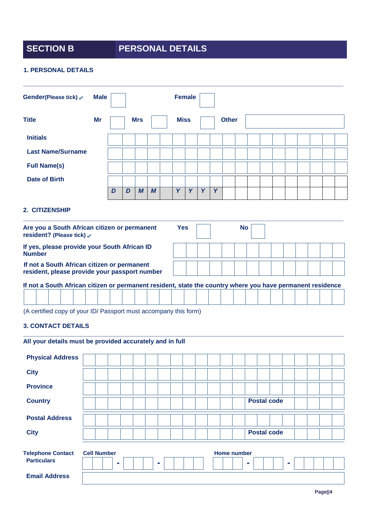# **SECTION B PERSONAL DETAILS**

#### **1. PERSONAL DETAILS**

| Gender(Please tick) $\checkmark$                                                                           | <b>Male</b> |   |   |            |                  | <b>Female</b> |   |   |   |              |           |  |  |  |  |
|------------------------------------------------------------------------------------------------------------|-------------|---|---|------------|------------------|---------------|---|---|---|--------------|-----------|--|--|--|--|
| <b>Title</b>                                                                                               | Mr          |   |   | <b>Mrs</b> |                  | <b>Miss</b>   |   |   |   | <b>Other</b> |           |  |  |  |  |
| <b>Initials</b>                                                                                            |             |   |   |            |                  |               |   |   |   |              |           |  |  |  |  |
| <b>Last Name/Surname</b>                                                                                   |             |   |   |            |                  |               |   |   |   |              |           |  |  |  |  |
| <b>Full Name(s)</b>                                                                                        |             |   |   |            |                  |               |   |   |   |              |           |  |  |  |  |
| Date of Birth                                                                                              |             |   |   |            |                  |               |   |   |   |              |           |  |  |  |  |
|                                                                                                            |             | D | D | M          | $\boldsymbol{M}$ | Y             | Y | Y | Y |              |           |  |  |  |  |
| 2. CITIZENSHIP                                                                                             |             |   |   |            |                  |               |   |   |   |              |           |  |  |  |  |
| Are you a South African citizen or permanent<br>resident? (Please tick) √                                  |             |   |   |            |                  | <b>Yes</b>    |   |   |   |              | <b>No</b> |  |  |  |  |
| If yes, please provide your South African ID<br><b>Number</b>                                              |             |   |   |            |                  |               |   |   |   |              |           |  |  |  |  |
| If not a South African citizen or permanent<br>resident, please provide your passport number               |             |   |   |            |                  |               |   |   |   |              |           |  |  |  |  |
| If not a South African citizen or permanent resident, state the country where you have permanent residence |             |   |   |            |                  |               |   |   |   |              |           |  |  |  |  |
|                                                                                                            |             |   |   |            |                  |               |   |   |   |              |           |  |  |  |  |

**\_\_\_\_\_\_\_\_\_\_\_\_\_\_\_\_\_\_\_\_\_\_\_\_\_\_\_\_\_\_\_\_\_\_\_\_\_\_\_\_\_\_\_\_\_\_\_\_\_\_\_\_\_\_\_\_\_\_\_\_\_\_\_\_\_\_\_\_\_\_\_\_\_\_\_\_\_\_\_\_\_\_\_\_**

(A certified copy of your ID/ Passport must accompany this form)

#### **3. CONTACT DETAILS**

|  |                    |   | All your details must be provided accurately and in full |  |  |  |             |   |                                          |  |  |
|--|--------------------|---|----------------------------------------------------------|--|--|--|-------------|---|------------------------------------------|--|--|
|  |                    |   |                                                          |  |  |  |             |   |                                          |  |  |
|  |                    |   |                                                          |  |  |  |             |   |                                          |  |  |
|  |                    |   |                                                          |  |  |  |             |   |                                          |  |  |
|  |                    |   |                                                          |  |  |  |             |   |                                          |  |  |
|  |                    |   |                                                          |  |  |  |             |   |                                          |  |  |
|  |                    |   |                                                          |  |  |  |             |   |                                          |  |  |
|  |                    | ۰ |                                                          |  |  |  |             | ۰ |                                          |  |  |
|  |                    |   |                                                          |  |  |  |             |   |                                          |  |  |
|  | <b>Cell Number</b> |   |                                                          |  |  |  | Home number |   | <b>Postal code</b><br><b>Postal code</b> |  |  |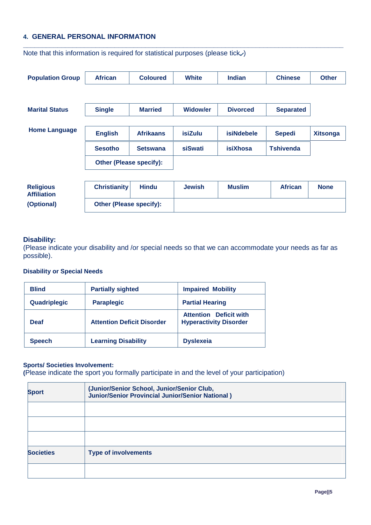#### **4. GENERAL PERSONAL INFORMATION**

| <b>Population Group</b>                | <b>African</b>                 | <b>Coloured</b>  | <b>White</b>    | <b>Indian</b>     | <b>Chinese</b>   | <b>Other</b>    |
|----------------------------------------|--------------------------------|------------------|-----------------|-------------------|------------------|-----------------|
|                                        |                                |                  |                 |                   |                  |                 |
|                                        |                                |                  |                 |                   |                  |                 |
| <b>Marital Status</b>                  | <b>Single</b>                  | <b>Married</b>   | <b>Widow/er</b> | <b>Divorced</b>   | <b>Separated</b> |                 |
|                                        |                                |                  |                 |                   |                  |                 |
| <b>Home Language</b>                   | <b>English</b>                 | <b>Afrikaans</b> | <b>isiZulu</b>  | <b>isiNdebele</b> | <b>Sepedi</b>    | <b>Xitsonga</b> |
|                                        |                                |                  |                 |                   |                  |                 |
|                                        | <b>Sesotho</b>                 | <b>Setswana</b>  | siSwati         | <b>isiXhosa</b>   | <b>Tshivenda</b> |                 |
|                                        | <b>Other (Please specify):</b> |                  |                 |                   |                  |                 |
|                                        |                                |                  |                 |                   |                  |                 |
| <b>Religious</b><br><b>Affiliation</b> | <b>Christianity</b>            | <b>Hindu</b>     | <b>Jewish</b>   | <b>Muslim</b>     | <b>African</b>   | <b>None</b>     |
| (Optional)                             | <b>Other (Please specify):</b> |                  |                 |                   |                  |                 |

**\_\_\_\_\_\_\_\_\_\_\_\_\_\_\_\_\_\_\_\_\_\_\_\_\_\_\_\_\_\_\_\_\_\_\_\_\_\_\_\_\_\_\_\_\_\_\_\_\_\_\_\_\_\_\_\_\_\_\_\_\_\_\_\_\_\_\_\_\_\_\_\_\_\_\_\_\_\_\_\_\_\_\_\_**

Note that this information is required for statistical purposes (please tick $\checkmark$ )

#### **Disability:**

(Please indicate your disability and /or special needs so that we can accommodate your needs as far as possible).

#### **Disability or Special Needs**

| <b>Blind</b>  | <b>Partially sighted</b>          | <b>Impaired Mobility</b>                                       |
|---------------|-----------------------------------|----------------------------------------------------------------|
| Quadriplegic  | <b>Paraplegic</b>                 | <b>Partial Hearing</b>                                         |
| <b>Deaf</b>   | <b>Attention Deficit Disorder</b> | <b>Attention</b> Deficit with<br><b>Hyperactivity Disorder</b> |
| <b>Speech</b> | <b>Learning Disability</b>        | <b>Dyslexeia</b>                                               |

#### **Sports/ Societies Involvement:**

**(**Please indicate the sport you formally participate in and the level of your participation)

| <b>Sport</b>     | (Junior/Senior School, Junior/Senior Club,<br>Junior/Senior Provincial Junior/Senior National) |
|------------------|------------------------------------------------------------------------------------------------|
|                  |                                                                                                |
|                  |                                                                                                |
|                  |                                                                                                |
| <b>Societies</b> | <b>Type of involvements</b>                                                                    |
|                  |                                                                                                |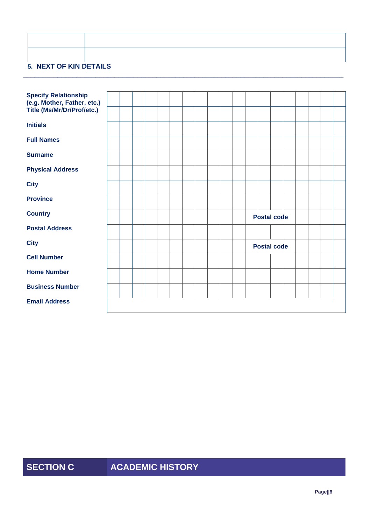| <b>5. NEXT OF KIN DETAILS</b> |  |
|-------------------------------|--|

**\_\_\_\_\_\_\_\_\_\_\_\_\_\_\_\_\_\_\_\_\_\_\_\_\_\_\_\_\_\_\_\_\_\_\_\_\_\_\_\_\_\_\_\_\_\_\_\_\_\_\_\_\_\_\_\_\_\_\_\_\_\_\_\_\_\_\_\_\_\_\_\_\_\_\_\_\_\_\_\_\_\_\_\_**

| <b>Specify Relationship</b><br>(e.g. Mother, Father, etc.) |  |  |  |  |  |  |                    |  |  |  |
|------------------------------------------------------------|--|--|--|--|--|--|--------------------|--|--|--|
| Title (Ms/Mr/Dr/Prof/etc.)                                 |  |  |  |  |  |  |                    |  |  |  |
| <b>Initials</b>                                            |  |  |  |  |  |  |                    |  |  |  |
| <b>Full Names</b>                                          |  |  |  |  |  |  |                    |  |  |  |
| <b>Surname</b>                                             |  |  |  |  |  |  |                    |  |  |  |
| <b>Physical Address</b>                                    |  |  |  |  |  |  |                    |  |  |  |
| <b>City</b>                                                |  |  |  |  |  |  |                    |  |  |  |
| <b>Province</b>                                            |  |  |  |  |  |  |                    |  |  |  |
| <b>Country</b>                                             |  |  |  |  |  |  | <b>Postal code</b> |  |  |  |
| <b>Postal Address</b>                                      |  |  |  |  |  |  |                    |  |  |  |
| <b>City</b>                                                |  |  |  |  |  |  | <b>Postal code</b> |  |  |  |
| <b>Cell Number</b>                                         |  |  |  |  |  |  |                    |  |  |  |
| <b>Home Number</b>                                         |  |  |  |  |  |  |                    |  |  |  |
| <b>Business Number</b>                                     |  |  |  |  |  |  |                    |  |  |  |
| <b>Email Address</b>                                       |  |  |  |  |  |  |                    |  |  |  |
|                                                            |  |  |  |  |  |  |                    |  |  |  |

# **SECTION C ACADEMIC HISTORY**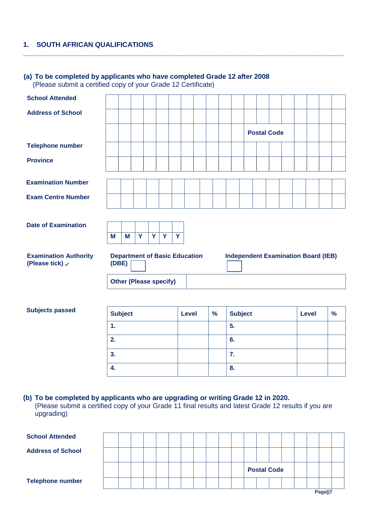### **1. SOUTH AFRICAN QUALIFICATIONS**

# **(a) To be completed by applicants who have completed Grade 12 after 2008**

(Please submit a certified copy of your Grade 12 Certificate)

| <b>School Attended</b>                                     |                |   |                         |   |                               |                         |                                      |               |                                            |                    |  |              |               |
|------------------------------------------------------------|----------------|---|-------------------------|---|-------------------------------|-------------------------|--------------------------------------|---------------|--------------------------------------------|--------------------|--|--------------|---------------|
| <b>Address of School</b>                                   |                |   |                         |   |                               |                         |                                      |               |                                            |                    |  |              |               |
|                                                            |                |   |                         |   |                               |                         |                                      |               |                                            | <b>Postal Code</b> |  |              |               |
| <b>Telephone number</b>                                    |                |   |                         |   |                               |                         |                                      |               |                                            |                    |  |              |               |
| <b>Province</b>                                            |                |   |                         |   |                               |                         |                                      |               |                                            |                    |  |              |               |
| <b>Examination Number</b>                                  |                |   |                         |   |                               |                         |                                      |               |                                            |                    |  |              |               |
| <b>Exam Centre Number</b>                                  |                |   |                         |   |                               |                         |                                      |               |                                            |                    |  |              |               |
| <b>Date of Examination</b>                                 | M              | M | $\overline{\mathbf{Y}}$ | Y | $\overline{Y}$                | $\overline{\mathbf{Y}}$ |                                      |               |                                            |                    |  |              |               |
| <b>Examination Authority</b><br>(Please tick) $\checkmark$ | (DBE)          |   |                         |   |                               |                         | <b>Department of Basic Education</b> |               | <b>Independent Examination Board (IEB)</b> |                    |  |              |               |
|                                                            |                |   |                         |   | <b>Other (Please specify)</b> |                         |                                      |               |                                            |                    |  |              |               |
|                                                            |                |   |                         |   |                               |                         |                                      |               |                                            |                    |  |              |               |
| <b>Subjects passed</b>                                     | <b>Subject</b> |   |                         |   |                               |                         | <b>Level</b>                         | $\frac{9}{6}$ | <b>Subject</b>                             |                    |  | <b>Level</b> | $\frac{9}{6}$ |
|                                                            | 1.             |   |                         |   |                               |                         |                                      |               | 5.                                         |                    |  |              |               |
|                                                            | 2.             |   |                         |   |                               |                         |                                      |               | 6.                                         |                    |  |              |               |
|                                                            | 3.             |   |                         |   |                               |                         |                                      |               | 7.                                         |                    |  |              |               |

**\_\_\_\_\_\_\_\_\_\_\_\_\_\_\_\_\_\_\_\_\_\_\_\_\_\_\_\_\_\_\_\_\_\_\_\_\_\_\_\_\_\_\_\_\_\_\_\_\_\_\_\_\_\_\_\_\_\_\_\_\_\_\_\_\_\_\_\_\_\_\_\_\_\_\_\_\_\_\_\_\_\_\_\_**

**(b) To be completed by applicants who are upgrading or writing Grade 12 in 2020.** (Please submit a certified copy of your Grade 11 final results and latest Grade 12 results if you are upgrading)

**4. 8.**

| <b>School Attended</b>   |  |  |  |  |  |                    |  |  |  |  |  |         |  |  |  |  |  |
|--------------------------|--|--|--|--|--|--------------------|--|--|--|--|--|---------|--|--|--|--|--|
| <b>Address of School</b> |  |  |  |  |  |                    |  |  |  |  |  |         |  |  |  |  |  |
|                          |  |  |  |  |  | <b>Postal Code</b> |  |  |  |  |  |         |  |  |  |  |  |
| <b>Telephone number</b>  |  |  |  |  |  |                    |  |  |  |  |  |         |  |  |  |  |  |
|                          |  |  |  |  |  |                    |  |  |  |  |  | Page  7 |  |  |  |  |  |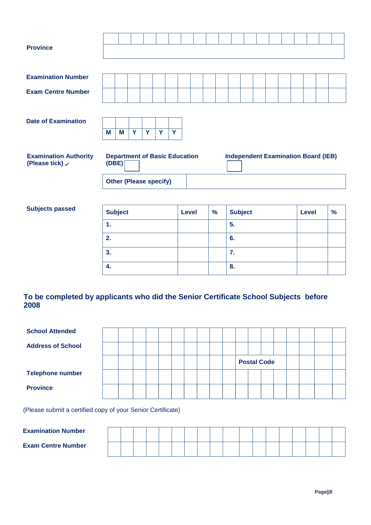| <b>Province</b>                                            |       |   |                               |   |   |                                      |  |  |                                            |  |  |  |  |
|------------------------------------------------------------|-------|---|-------------------------------|---|---|--------------------------------------|--|--|--------------------------------------------|--|--|--|--|
|                                                            |       |   |                               |   |   |                                      |  |  |                                            |  |  |  |  |
| <b>Examination Number</b>                                  |       |   |                               |   |   |                                      |  |  |                                            |  |  |  |  |
| <b>Exam Centre Number</b>                                  |       |   |                               |   |   |                                      |  |  |                                            |  |  |  |  |
|                                                            |       |   |                               |   |   |                                      |  |  |                                            |  |  |  |  |
| <b>Date of Examination</b>                                 |       |   |                               |   |   |                                      |  |  |                                            |  |  |  |  |
|                                                            | M     | M | Y                             | Y | Y | Y                                    |  |  |                                            |  |  |  |  |
| <b>Examination Authority</b><br>(Please tick) $\checkmark$ | (DBE) |   |                               |   |   | <b>Department of Basic Education</b> |  |  | <b>Independent Examination Board (IEB)</b> |  |  |  |  |
|                                                            |       |   | <b>Other (Please specify)</b> |   |   |                                      |  |  |                                            |  |  |  |  |

#### $Subjects$  passed

| <b>Subject</b> | <b>Level</b> | $\frac{9}{6}$ | <b>Subject</b> | <b>Level</b> | $\frac{9}{6}$ |
|----------------|--------------|---------------|----------------|--------------|---------------|
| 1.             |              |               | 5.             |              |               |
| 2.             |              |               | 6.             |              |               |
| 3.             |              |               | 7.             |              |               |
| 4.             |              |               | 8.             |              |               |

### **To be completed by applicants who did the Senior Certificate School Subjects before 2008**

| <b>School Attended</b>   |  |  |  |  |  |                    |  |  |  |
|--------------------------|--|--|--|--|--|--------------------|--|--|--|
| <b>Address of School</b> |  |  |  |  |  |                    |  |  |  |
|                          |  |  |  |  |  | <b>Postal Code</b> |  |  |  |
| <b>Telephone number</b>  |  |  |  |  |  |                    |  |  |  |
| <b>Province</b>          |  |  |  |  |  |                    |  |  |  |

(Please submit a certified copy of your Senior Certificate)

| <b>Examination Number</b> |  |  |  |  |  |  |  |  |  |
|---------------------------|--|--|--|--|--|--|--|--|--|
| <b>Exam Centre Number</b> |  |  |  |  |  |  |  |  |  |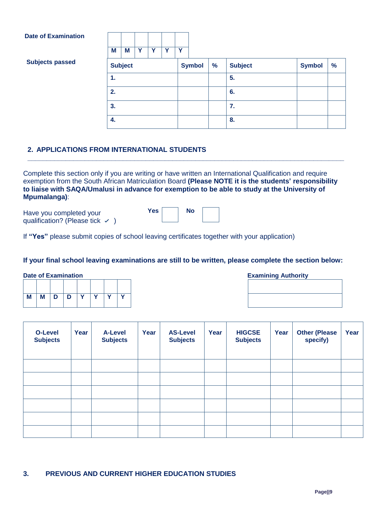#### **Date of Examination**



| <b>Subjects passed</b> | <b>Subject</b> | <b>Symbol</b> | $\frac{9}{6}$ | <b>Subject</b> | <b>Symbol</b> | $\frac{9}{6}$ |
|------------------------|----------------|---------------|---------------|----------------|---------------|---------------|
|                        | 1.             |               |               | 5.             |               |               |
|                        | 2.             |               |               | 6.             |               |               |
|                        | 3.             |               |               | 7.             |               |               |
|                        | 4.             |               |               | 8.             |               |               |

#### **2. APPLICATIONS FROM INTERNATIONAL STUDENTS**

Complete this section only if you are writing or have written an International Qualification and require exemption from the South African Matriculation Board **(Please NOTE it is the students' responsibility to liaise with SAQA/Umalusi in advance for exemption to be able to study at the University of Mpumalanga)**:

Yes | No

**\_\_\_\_\_\_\_\_\_\_\_\_\_\_\_\_\_\_\_\_\_\_\_\_\_\_\_\_\_\_\_\_\_\_\_\_\_\_\_\_\_\_\_\_\_\_\_\_\_\_\_\_\_\_\_\_\_\_\_\_\_\_\_\_\_\_\_\_\_\_\_\_\_\_\_\_\_\_\_\_\_\_\_**

Have you completed your qualification? (Please tick  $\checkmark$ )

|  | If "Yes" please submit copies of school leaving certificates together with your application) |  |
|--|----------------------------------------------------------------------------------------------|--|
|  |                                                                                              |  |

#### **If your final school leaving examinations are still to be written, please complete the section below:**

| M | $M$ $D$ | $\blacksquare$ | Y | Y | $\mathbf v$ |
|---|---------|----------------|---|---|-------------|

#### **Date of Examination Examination Examining Authority**

| <b>O-Level</b><br><b>Subjects</b> | Year | <b>A-Level</b><br><b>Subjects</b> | Year | <b>AS-Level</b><br><b>Subjects</b> | Year | <b>HIGCSE</b><br><b>Subjects</b> | Year | <b>Other (Please</b><br>specify) | Year |
|-----------------------------------|------|-----------------------------------|------|------------------------------------|------|----------------------------------|------|----------------------------------|------|
|                                   |      |                                   |      |                                    |      |                                  |      |                                  |      |
|                                   |      |                                   |      |                                    |      |                                  |      |                                  |      |
|                                   |      |                                   |      |                                    |      |                                  |      |                                  |      |
|                                   |      |                                   |      |                                    |      |                                  |      |                                  |      |
|                                   |      |                                   |      |                                    |      |                                  |      |                                  |      |
|                                   |      |                                   |      |                                    |      |                                  |      |                                  |      |

#### **3. PREVIOUS AND CURRENT HIGHER EDUCATION STUDIES**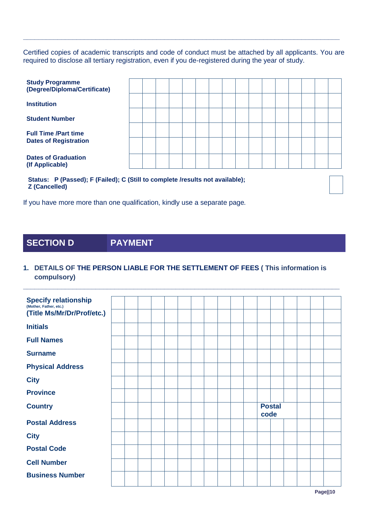Certified copies of academic transcripts and code of conduct must be attached by all applicants. You are required to disclose all tertiary registration, even if you de-registered during the year of study.

**\_\_\_\_\_\_\_\_\_\_\_\_\_\_\_\_\_\_\_\_\_\_\_\_\_\_\_\_\_\_\_\_\_\_\_\_\_\_\_\_\_\_\_\_\_\_\_\_\_\_\_\_\_\_\_\_\_\_\_\_\_\_\_\_\_\_\_\_\_\_\_\_\_\_\_\_\_\_\_\_\_\_\_**

| <b>Study Programme</b><br>(Degree/Diploma/Certificate)                                                                                                                                                                                                                             |  |  |  |  |  |  |  |  |
|------------------------------------------------------------------------------------------------------------------------------------------------------------------------------------------------------------------------------------------------------------------------------------|--|--|--|--|--|--|--|--|
| <b>Institution</b>                                                                                                                                                                                                                                                                 |  |  |  |  |  |  |  |  |
| <b>Student Number</b>                                                                                                                                                                                                                                                              |  |  |  |  |  |  |  |  |
| <b>Full Time /Part time</b>                                                                                                                                                                                                                                                        |  |  |  |  |  |  |  |  |
| <b>Dates of Registration</b>                                                                                                                                                                                                                                                       |  |  |  |  |  |  |  |  |
| <b>Dates of Graduation</b><br>(If Applicable)                                                                                                                                                                                                                                      |  |  |  |  |  |  |  |  |
| $\mathbf{a}$ and $\mathbf{b}$ are the contract of the contract of the contract of the contract of the contract of the contract of the contract of the contract of the contract of the contract of the contract of the contract of the<br>$\sim$ $\sim$ $\sim$ $\sim$ $\sim$ $\sim$ |  |  |  |  |  |  |  |  |

**Status: P (Passed); F (Failed); C (Still to complete /results not available); Z (Cancelled)**

If you have more more than one qualification, kindly use a separate page*.*

## **SECTION D PAYMENT**

#### **1. DETAILS OF THE PERSON LIABLE FOR THE SETTLEMENT OF FEES ( This information is compulsory)**

**\_\_\_\_\_\_\_\_\_\_\_\_\_\_\_\_\_\_\_\_\_\_\_\_\_\_\_\_\_\_\_\_\_\_\_\_\_\_\_\_\_\_\_\_\_\_\_\_\_\_\_\_\_\_\_\_\_\_\_\_\_\_\_\_\_\_\_\_\_\_\_\_\_\_\_\_\_\_\_\_\_\_\_**

| <b>Specify relationship</b><br>(Mother, Father, etc.) |  |  |  |  |  |      |               |  |  |
|-------------------------------------------------------|--|--|--|--|--|------|---------------|--|--|
| (Title Ms/Mr/Dr/Prof/etc.)                            |  |  |  |  |  |      |               |  |  |
| <b>Initials</b>                                       |  |  |  |  |  |      |               |  |  |
| <b>Full Names</b>                                     |  |  |  |  |  |      |               |  |  |
| <b>Surname</b>                                        |  |  |  |  |  |      |               |  |  |
| <b>Physical Address</b>                               |  |  |  |  |  |      |               |  |  |
| <b>City</b>                                           |  |  |  |  |  |      |               |  |  |
| <b>Province</b>                                       |  |  |  |  |  |      |               |  |  |
| <b>Country</b>                                        |  |  |  |  |  | code | <b>Postal</b> |  |  |
| <b>Postal Address</b>                                 |  |  |  |  |  |      |               |  |  |
| <b>City</b>                                           |  |  |  |  |  |      |               |  |  |
| <b>Postal Code</b>                                    |  |  |  |  |  |      |               |  |  |
| <b>Cell Number</b>                                    |  |  |  |  |  |      |               |  |  |
| <b>Business Number</b>                                |  |  |  |  |  |      |               |  |  |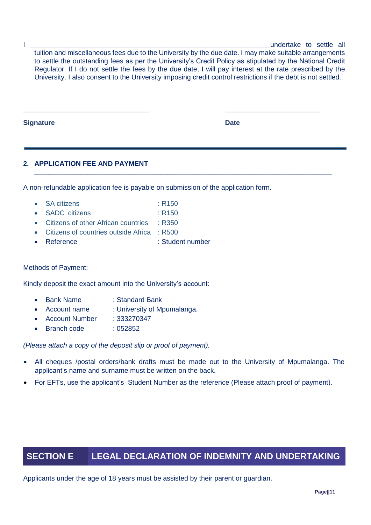I all the settle all the settle all the settle all the settle all the settle all the settle all the settle all tuition and miscellaneous fees due to the University by the due date. I may make suitable arrangements to settle the outstanding fees as per the University's Credit Policy as stipulated by the National Credit Regulator. If I do not settle the fees by the due date, I will pay interest at the rate prescribed by the University. I also consent to the University imposing credit control restrictions if the debt is not settled.

\_\_\_\_\_\_\_\_\_\_\_\_\_\_\_\_\_\_\_\_\_\_\_\_\_\_\_\_\_\_\_\_\_ \_\_\_\_\_\_\_\_\_\_\_\_\_\_\_\_\_\_\_\_\_\_\_\_\_

**\_\_\_\_\_\_\_\_\_\_\_\_\_\_\_\_\_\_\_\_\_\_\_\_\_\_\_\_\_\_\_\_\_\_\_\_\_\_\_\_\_\_\_\_\_\_\_\_\_\_\_\_\_\_\_\_\_\_\_\_\_\_\_\_\_\_\_\_\_\_\_\_\_\_\_\_\_\_**

**Signature Date**

### **2. APPLICATION FEE AND PAYMENT**

A non-refundable application fee is payable on submission of the application form.

- SA citizens : R150
- SADC citizens : R150
- Citizens of other African countries : R350
- Citizens of countries outside Africa : R500
- Reference : Student number

#### Methods of Payment:

Kindly deposit the exact amount into the University's account:

- Bank Name : Standard Bank
- Account name : University of Mpumalanga.
- Account Number : 333270347
- Branch code : 052852

*(Please attach a copy of the deposit slip or proof of payment).*

- All cheques /postal orders/bank drafts must be made out to the University of Mpumalanga. The applicant's name and surname must be written on the back.
- For EFTs, use the applicant's Student Number as the reference (Please attach proof of payment).

## **SECTION E LEGAL DECLARATION OF INDEMNITY AND UNDERTAKING**

Applicants under the age of 18 years must be assisted by their parent or guardian.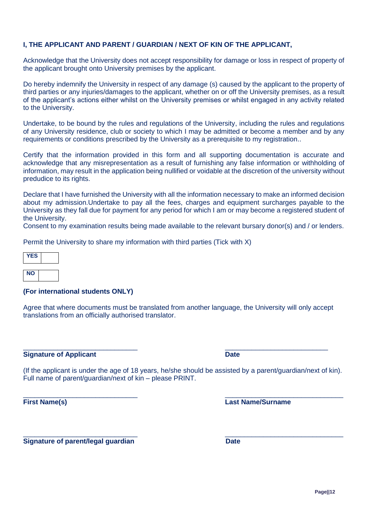**Page||12**

#### **I, THE APPLICANT AND PARENT / GUARDIAN / NEXT OF KIN OF THE APPLICANT,**

Acknowledge that the University does not accept responsibility for damage or loss in respect of property of the applicant brought onto University premises by the applicant.

Do hereby indemnify the University in respect of any damage (s) caused by the applicant to the property of third parties or any injuries/damages to the applicant, whether on or off the University premises, as a result of the applicant's actions either whilst on the University premises or whilst engaged in any activity related to the University.

Undertake, to be bound by the rules and regulations of the University, including the rules and regulations of any University residence, club or society to which I may be admitted or become a member and by any requirements or conditions prescribed by the University as a prerequisite to my registration..

Certify that the information provided in this form and all supporting documentation is accurate and acknowledge that any misrepresentation as a result of furnishing any false information or withholding of information, may result in the application being nullified or voidable at the discretion of the university without predudice to its rights.

Declare that I have furnished the University with all the information necessary to make an informed decision about my admission.Undertake to pay all the fees, charges and equipment surcharges payable to the University as they fall due for payment for any period for which I am or may become a registered student of the University.

Consent to my examination results being made available to the relevant bursary donor(s) and / or lenders.

Permit the University to share my information with third parties (Tick with X)

| YES |  |
|-----|--|
| NΟ  |  |

#### **(For international students ONLY)**

Agree that where documents must be translated from another language, the University will only accept translations from an officially authorised translator.

 $\_$  , and the set of the set of the set of the set of the set of the set of the set of the set of the set of the set of the set of the set of the set of the set of the set of the set of the set of the set of the set of th

**Signature of Applicant Date** 

(If the applicant is under the age of 18 years, he/she should be assisted by a parent/guardian/next of kin). Full name of parent/guardian/next of kin – please PRINT.

**First Name(s) Last Name/Surname**

**Signature of parent/legal guardian discrete that the Date** 

 $\_$  , and the set of the set of the set of the set of the set of the set of the set of the set of the set of the set of the set of the set of the set of the set of the set of the set of the set of the set of the set of th

 $\_$  , and the set of the set of the set of the set of the set of the set of the set of the set of the set of the set of the set of the set of the set of the set of the set of the set of the set of the set of the set of th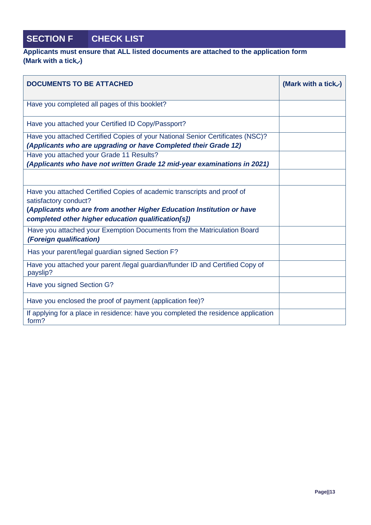# **SECTION F CHECK LIST**

### **Applicants must ensure that ALL listed documents are attached to the application form (Mark with a tick )**

| <b>DOCUMENTS TO BE ATTACHED</b>                                                                                                                                                                                                 | (Mark with a tick $\checkmark$ ) |
|---------------------------------------------------------------------------------------------------------------------------------------------------------------------------------------------------------------------------------|----------------------------------|
| Have you completed all pages of this booklet?                                                                                                                                                                                   |                                  |
| Have you attached your Certified ID Copy/Passport?                                                                                                                                                                              |                                  |
| Have you attached Certified Copies of your National Senior Certificates (NSC)?<br>(Applicants who are upgrading or have Completed their Grade 12)                                                                               |                                  |
| Have you attached your Grade 11 Results?<br>(Applicants who have not written Grade 12 mid-year examinations in 2021)                                                                                                            |                                  |
| Have you attached Certified Copies of academic transcripts and proof of<br>satisfactory conduct?<br>(Applicants who are from another Higher Education Institution or have<br>completed other higher education qualification[s]) |                                  |
| Have you attached your Exemption Documents from the Matriculation Board<br><i>(Foreign qualification)</i>                                                                                                                       |                                  |
| Has your parent/legal guardian signed Section F?                                                                                                                                                                                |                                  |
| Have you attached your parent /legal guardian/funder ID and Certified Copy of<br>payslip?                                                                                                                                       |                                  |
| Have you signed Section G?                                                                                                                                                                                                      |                                  |
| Have you enclosed the proof of payment (application fee)?                                                                                                                                                                       |                                  |
| If applying for a place in residence: have you completed the residence application<br>form?                                                                                                                                     |                                  |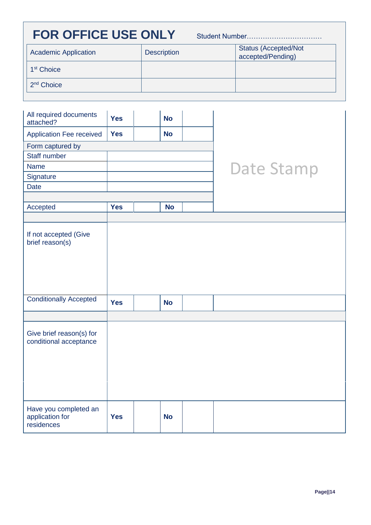# **FOR OFFICE USE ONLY**

Student Number……………………………

| <b>Academic Application</b> | <b>Description</b> | <b>Status (Accepted/Not</b><br>accepted/Pending) |
|-----------------------------|--------------------|--------------------------------------------------|
| 1 <sup>st</sup> Choice      |                    |                                                  |
| 2 <sup>nd</sup> Choice      |                    |                                                  |

| All required documents<br>attached?                    | <b>Yes</b> | <b>No</b> |                   |
|--------------------------------------------------------|------------|-----------|-------------------|
| <b>Application Fee received</b>                        | <b>Yes</b> | <b>No</b> |                   |
| Form captured by                                       |            |           |                   |
| <b>Staff number</b>                                    |            |           |                   |
| <b>Name</b>                                            |            |           | <b>Date Stamp</b> |
| Signature                                              |            |           |                   |
| <b>Date</b>                                            |            |           |                   |
|                                                        |            |           |                   |
| Accepted                                               | <b>Yes</b> | <b>No</b> |                   |
|                                                        |            |           |                   |
| If not accepted (Give<br>brief reason(s)               |            |           |                   |
| <b>Conditionally Accepted</b>                          | <b>Yes</b> | <b>No</b> |                   |
|                                                        |            |           |                   |
| Give brief reason(s) for<br>conditional acceptance     |            |           |                   |
| Have you completed an<br>application for<br>residences | <b>Yes</b> | <b>No</b> |                   |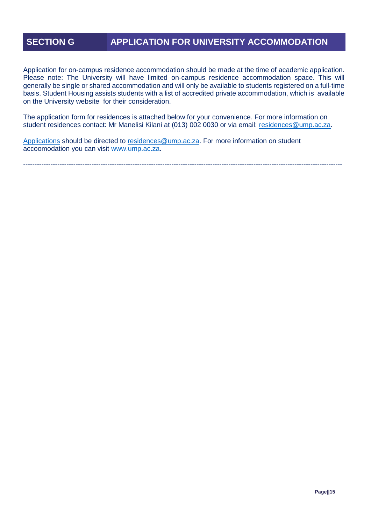## **SECTION G APPLICATION FOR UNIVERSITY ACCOMMODATION**

Application for on-campus residence accommodation should be made at the time of academic application. Please note: The University will have limited on-campus residence accommodation space. This will generally be single or shared accommodation and will only be available to students registered on a full-time basis. Student Housing assists students with a list of accredited private accommodation, which is available on the University website for their consideration.

The application form for residences is attached below for your convenience. For more information on student residences contact: Mr Manelisi Kilani at (013) 002 0030 or via email: [residences@ump.ac.za.](mailto:residences@ump.ac.za)

[Applications](mailto:Applications) should be directed to [residences@ump.ac.za.](mailto:residences@ump.ac.za) For more information on student accoomodation you can visit [www.ump.ac.za.](http://www.ump.ac.za/)

--------------------------------------------------------------------------------------------------------------------------------------------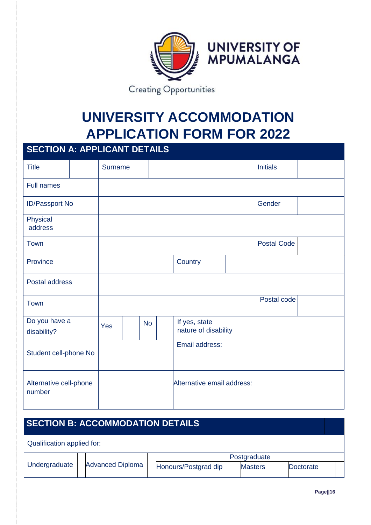

# **UNIVERSITY ACCOMMODATION APPLICATION FORM FOR 2022**

# **SECTION A: APPLICANT DETAILS**

| <b>Title</b>                     |  | <b>Surname</b> |           |         |                                       |  | <b>Initials</b>    |  |
|----------------------------------|--|----------------|-----------|---------|---------------------------------------|--|--------------------|--|
|                                  |  |                |           |         |                                       |  |                    |  |
| <b>Full names</b>                |  |                |           |         |                                       |  |                    |  |
| ID/Passport No                   |  |                |           |         | Gender                                |  |                    |  |
| Physical<br>address              |  |                |           |         |                                       |  |                    |  |
| Town                             |  |                |           |         |                                       |  | <b>Postal Code</b> |  |
| Province                         |  |                |           | Country |                                       |  |                    |  |
| Postal address                   |  |                |           |         |                                       |  |                    |  |
| Town                             |  |                |           |         |                                       |  | Postal code        |  |
| Do you have a<br>disability?     |  | Yes            | <b>No</b> |         | If yes, state<br>nature of disability |  |                    |  |
| Student cell-phone No            |  |                |           |         | Email address:                        |  |                    |  |
| Alternative cell-phone<br>number |  |                |           |         | Alternative email address:            |  |                    |  |

| <b>SECTION B: ACCOMMODATION DETAILS</b> |  |                         |  |                      |  |                |  |           |  |
|-----------------------------------------|--|-------------------------|--|----------------------|--|----------------|--|-----------|--|
| Qualification applied for:              |  |                         |  |                      |  |                |  |           |  |
|                                         |  |                         |  | Postgraduate         |  |                |  |           |  |
| Undergraduate                           |  | <b>Advanced Diploma</b> |  | Honours/Postgrad dip |  | <b>Masters</b> |  | Doctorate |  |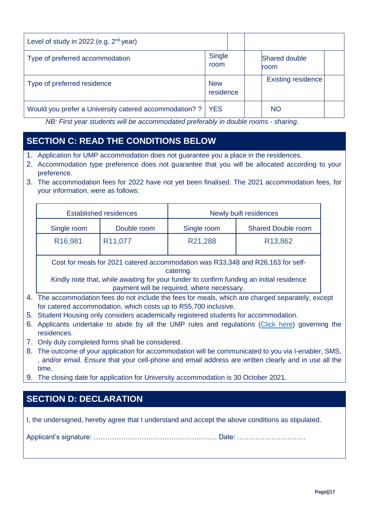| Level of study in 2022 (e.g. $2nd$ year)               |                         |                              |  |
|--------------------------------------------------------|-------------------------|------------------------------|--|
| Type of preferred accommodation                        | Single<br>room          | <b>Shared double</b><br>room |  |
| Type of preferred residence                            | <b>New</b><br>residence | <b>Existing residence</b>    |  |
| Would you prefer a University catered accommodation? ? | <b>YES</b>              | <b>NO</b>                    |  |

*NB: First year students will be accommodated preferably in double rooms - sharing.* 

# **SECTION C: READ THE CONDITIONS BELOW**

- 1. Application for UMP accommodation does not guarantee you a place in the residences.
- 2. Accommodation type preference does not guarantee that you will be allocated according to your preference.
- 3. The accommodation fees for 2022 have not yet been finalised. The 2021 accommodation fees, for your information, were as follows:

|                      | <b>Established residences</b> | Newly built residences |                           |  |  |  |  |
|----------------------|-------------------------------|------------------------|---------------------------|--|--|--|--|
| Single room          | Double room                   | Single room            | <b>Shared Double room</b> |  |  |  |  |
| R <sub>16</sub> ,981 | R <sub>11</sub> , 077         | R21,288                | R <sub>13</sub> ,862      |  |  |  |  |

Cost for meals for 2021 catered accommodation was R33,348 and R26,163 for selfcatering.

Kindly note that, while awaiting for your funder to confirm funding an initial residence payment will be required, where necessary.

- 4. The accommodation fees do not include the fees for meals, which are charged separately, except for catered accommodation, which costs up to R55,700 inclusive.
- 5. Student Housing only considers academically registered students for accommodation.
- 6. Applicants undertake to abide by all the UMP rules and regulations [\(Click here\)](https://www.dropbox.com/s/ouvxu80vf44lem1/STUDENT%20HOUSING%20HANDBOOK%20%289%29.pdf?dl=0) governing the residences.
- 7. Only duly completed forms shall be considered.
- 8. The outcome of your application for accommodation will be communicated to you via I-enabler, SMS, , and/or email. Ensure that your cell-phone and email address are written clearly and in use all the time.
- 9. The closing date for application for University accommodation is 30 October 2021.

# **SECTION D: DECLARATION**

I, the undersigned, hereby agree that I understand and accept the above conditions as stipulated.

Applicant's signature: ……………………………………………… Date: …………………………